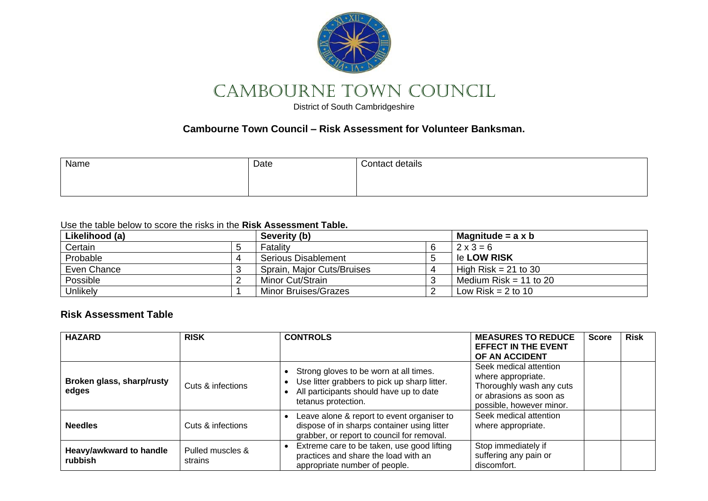

# CAMBOURNE TOWN COUNCIL

District of South Cambridgeshire

## **Cambourne Town Council – Risk Assessment for Volunteer Banksman.**

| Name | Date | <b>Contact details</b> |
|------|------|------------------------|
|      |      |                        |
|      |      |                        |

#### Use the table below to score the risks in the **Risk Assessment Table.**

| Likelihood (a) |  | Severity (b)                |  | Magnitude = $a \times b$ |
|----------------|--|-----------------------------|--|--------------------------|
| Certain        |  | Fatality                    |  | $2 \times 3 = 6$         |
| Probable       |  | Serious Disablement         |  | le LOW RISK              |
| Even Chance    |  | Sprain, Major Cuts/Bruises  |  | High Risk $= 21$ to 30   |
| Possible       |  | Minor Cut/Strain            |  | Medium Risk = 11 to 20   |
| Unlikely       |  | <b>Minor Bruises/Grazes</b> |  | Low Risk $= 2$ to 10     |

## **Risk Assessment Table**

| <b>HAZARD</b>                      | <b>RISK</b>                 | <b>CONTROLS</b>                                                                                                                                          | <b>MEASURES TO REDUCE</b><br><b>EFFECT IN THE EVENT</b><br>OF AN ACCIDENT                                                       | <b>Score</b> | <b>Risk</b> |
|------------------------------------|-----------------------------|----------------------------------------------------------------------------------------------------------------------------------------------------------|---------------------------------------------------------------------------------------------------------------------------------|--------------|-------------|
| Broken glass, sharp/rusty<br>edges | Cuts & infections           | Strong gloves to be worn at all times.<br>Use litter grabbers to pick up sharp litter.<br>All participants should have up to date<br>tetanus protection. | Seek medical attention<br>where appropriate.<br>Thoroughly wash any cuts<br>or abrasions as soon as<br>possible, however minor. |              |             |
| <b>Needles</b>                     | Cuts & infections           | Leave alone & report to event organiser to<br>dispose of in sharps container using litter<br>grabber, or report to council for removal.                  | Seek medical attention<br>where appropriate.                                                                                    |              |             |
| Heavy/awkward to handle<br>rubbish | Pulled muscles &<br>strains | Extreme care to be taken, use good lifting<br>practices and share the load with an<br>appropriate number of people.                                      | Stop immediately if<br>suffering any pain or<br>discomfort.                                                                     |              |             |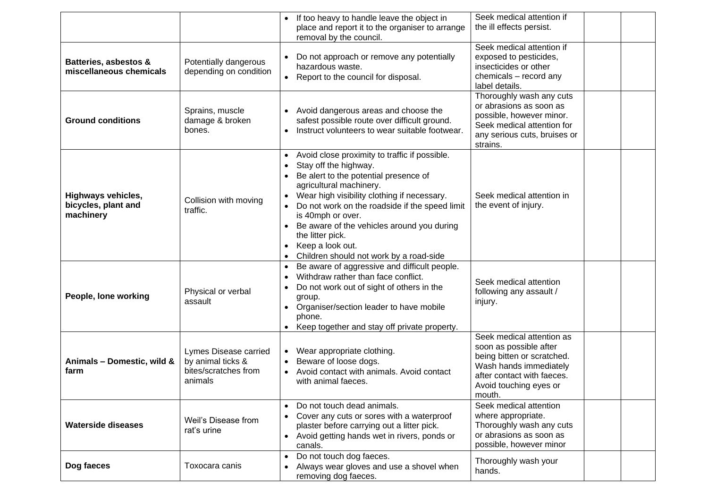|                                                               |                                                                               | If too heavy to handle leave the object in<br>$\bullet$<br>place and report it to the organiser to arrange<br>removal by the council.                                                                                                                                                                                                                                                                                                                 | Seek medical attention if<br>the ill effects persist.                                                                                                                         |
|---------------------------------------------------------------|-------------------------------------------------------------------------------|-------------------------------------------------------------------------------------------------------------------------------------------------------------------------------------------------------------------------------------------------------------------------------------------------------------------------------------------------------------------------------------------------------------------------------------------------------|-------------------------------------------------------------------------------------------------------------------------------------------------------------------------------|
| Batteries, asbestos &<br>miscellaneous chemicals              | Potentially dangerous<br>depending on condition                               | Do not approach or remove any potentially<br>hazardous waste.<br>Report to the council for disposal.<br>$\bullet$                                                                                                                                                                                                                                                                                                                                     | Seek medical attention if<br>exposed to pesticides,<br>insecticides or other<br>chemicals - record any<br>label details.                                                      |
| <b>Ground conditions</b>                                      | Sprains, muscle<br>damage & broken<br>bones.                                  | Avoid dangerous areas and choose the<br>safest possible route over difficult ground.<br>Instruct volunteers to wear suitable footwear.<br>$\bullet$                                                                                                                                                                                                                                                                                                   | Thoroughly wash any cuts<br>or abrasions as soon as<br>possible, however minor.<br>Seek medical attention for<br>any serious cuts, bruises or<br>strains.                     |
| <b>Highways vehicles,</b><br>bicycles, plant and<br>machinery | Collision with moving<br>traffic.                                             | Avoid close proximity to traffic if possible.<br>$\bullet$<br>Stay off the highway.<br>$\bullet$<br>Be alert to the potential presence of<br>agricultural machinery.<br>Wear high visibility clothing if necessary.<br>Do not work on the roadside if the speed limit<br>$\bullet$<br>is 40mph or over.<br>Be aware of the vehicles around you during<br>the litter pick.<br>Keep a look out.<br>Children should not work by a road-side<br>$\bullet$ | Seek medical attention in<br>the event of injury.                                                                                                                             |
| People, lone working                                          | Physical or verbal<br>assault                                                 | Be aware of aggressive and difficult people.<br>$\bullet$<br>Withdraw rather than face conflict.<br>$\bullet$<br>Do not work out of sight of others in the<br>$\bullet$<br>group.<br>Organiser/section leader to have mobile<br>phone.<br>Keep together and stay off private property.                                                                                                                                                                | Seek medical attention<br>following any assault /<br>injury.                                                                                                                  |
| Animals - Domestic, wild &<br>farm                            | Lymes Disease carried<br>by animal ticks &<br>bites/scratches from<br>animals | Wear appropriate clothing.<br>$\bullet$<br>Beware of loose dogs.<br>Avoid contact with animals. Avoid contact<br>$\bullet$<br>with animal faeces.                                                                                                                                                                                                                                                                                                     | Seek medical attention as<br>soon as possible after<br>being bitten or scratched.<br>Wash hands immediately<br>after contact with faeces.<br>Avoid touching eyes or<br>mouth. |
| <b>Waterside diseases</b>                                     | Weil's Disease from<br>rat's urine                                            | Do not touch dead animals.<br>Cover any cuts or sores with a waterproof<br>plaster before carrying out a litter pick.<br>Avoid getting hands wet in rivers, ponds or<br>$\bullet$<br>canals.                                                                                                                                                                                                                                                          | Seek medical attention<br>where appropriate.<br>Thoroughly wash any cuts<br>or abrasions as soon as<br>possible, however minor                                                |
| Dog faeces                                                    | Toxocara canis                                                                | Do not touch dog faeces.<br>Always wear gloves and use a shovel when<br>removing dog faeces.                                                                                                                                                                                                                                                                                                                                                          | Thoroughly wash your<br>hands.                                                                                                                                                |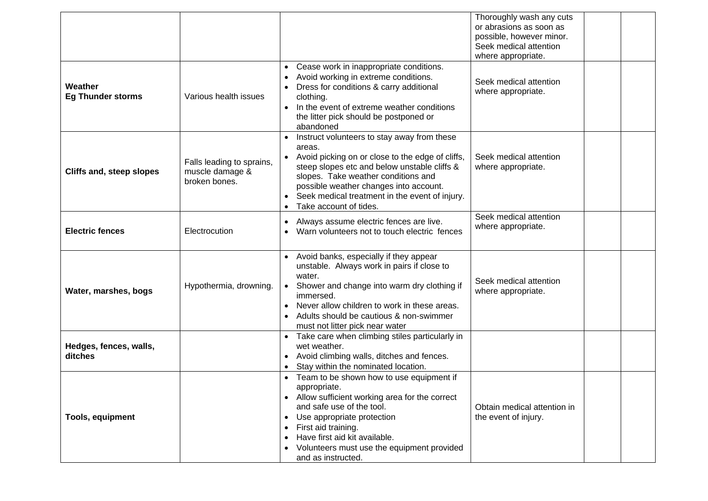|                                     |                                                               |                                                                                                                                                                                                                                                                                                                                     | Thoroughly wash any cuts<br>or abrasions as soon as<br>possible, however minor.<br>Seek medical attention<br>where appropriate. |  |
|-------------------------------------|---------------------------------------------------------------|-------------------------------------------------------------------------------------------------------------------------------------------------------------------------------------------------------------------------------------------------------------------------------------------------------------------------------------|---------------------------------------------------------------------------------------------------------------------------------|--|
| Weather<br><b>Eg Thunder storms</b> | Various health issues                                         | Cease work in inappropriate conditions.<br>$\bullet$<br>Avoid working in extreme conditions.<br>Dress for conditions & carry additional<br>clothing.<br>In the event of extreme weather conditions<br>$\bullet$<br>the litter pick should be postponed or<br>abandoned                                                              | Seek medical attention<br>where appropriate.                                                                                    |  |
| Cliffs and, steep slopes            | Falls leading to sprains,<br>muscle damage &<br>broken bones. | Instruct volunteers to stay away from these<br>areas.<br>Avoid picking on or close to the edge of cliffs,<br>steep slopes etc and below unstable cliffs &<br>slopes. Take weather conditions and<br>possible weather changes into account.<br>Seek medical treatment in the event of injury.<br>Take account of tides.<br>$\bullet$ | Seek medical attention<br>where appropriate.                                                                                    |  |
| <b>Electric fences</b>              | Electrocution                                                 | Always assume electric fences are live.<br>Warn volunteers not to touch electric fences                                                                                                                                                                                                                                             | Seek medical attention<br>where appropriate.                                                                                    |  |
| Water, marshes, bogs                | Hypothermia, drowning.                                        | Avoid banks, especially if they appear<br>unstable. Always work in pairs if close to<br>water.<br>Shower and change into warm dry clothing if<br>$\bullet$<br>immersed.<br>Never allow children to work in these areas.<br>$\bullet$<br>Adults should be cautious & non-swimmer<br>must not litter pick near water                  | Seek medical attention<br>where appropriate.                                                                                    |  |
| Hedges, fences, walls,<br>ditches   |                                                               | Take care when climbing stiles particularly in<br>wet weather.<br>Avoid climbing walls, ditches and fences.<br>$\bullet$<br>Stay within the nominated location.<br>$\bullet$                                                                                                                                                        |                                                                                                                                 |  |
| <b>Tools, equipment</b>             |                                                               | Team to be shown how to use equipment if<br>appropriate.<br>• Allow sufficient working area for the correct<br>and safe use of the tool.<br>Use appropriate protection<br>$\bullet$<br>First aid training.<br>Have first aid kit available.<br>Volunteers must use the equipment provided<br>and as instructed.                     | Obtain medical attention in<br>the event of injury.                                                                             |  |